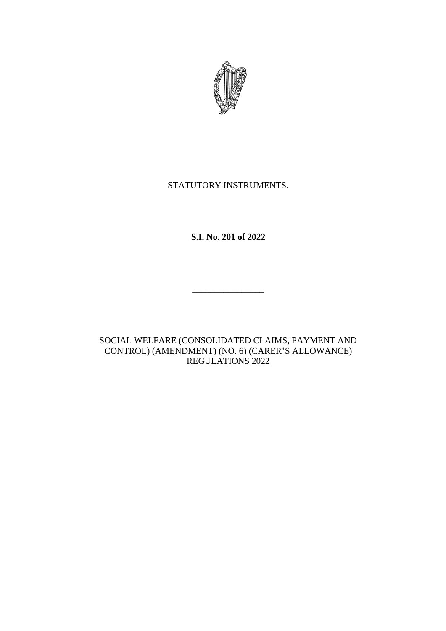

# STATUTORY INSTRUMENTS.

**S.I. No. 201 of 2022**

\_\_\_\_\_\_\_\_\_\_\_\_\_\_\_\_

SOCIAL WELFARE (CONSOLIDATED CLAIMS, PAYMENT AND CONTROL) (AMENDMENT) (NO. 6) (CARER'S ALLOWANCE) REGULATIONS 2022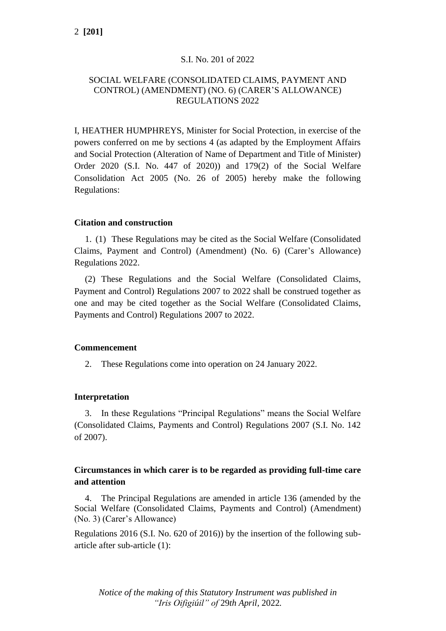### S.I. No. 201 of 2022

## SOCIAL WELFARE (CONSOLIDATED CLAIMS, PAYMENT AND CONTROL) (AMENDMENT) (NO. 6) (CARER'S ALLOWANCE) REGULATIONS 2022

I, HEATHER HUMPHREYS, Minister for Social Protection, in exercise of the powers conferred on me by sections 4 (as adapted by the Employment Affairs and Social Protection (Alteration of Name of Department and Title of Minister) Order 2020 (S.I. No. 447 of 2020)) and 179(2) of the Social Welfare Consolidation Act 2005 (No. 26 of 2005) hereby make the following Regulations:

#### **Citation and construction**

1. (1) These Regulations may be cited as the Social Welfare (Consolidated Claims, Payment and Control) (Amendment) (No. 6) (Carer's Allowance) Regulations 2022.

(2) These Regulations and the Social Welfare (Consolidated Claims, Payment and Control) Regulations 2007 to 2022 shall be construed together as one and may be cited together as the Social Welfare (Consolidated Claims, Payments and Control) Regulations 2007 to 2022.

#### **Commencement**

2. These Regulations come into operation on 24 January 2022.

#### **Interpretation**

3. In these Regulations "Principal Regulations" means the Social Welfare (Consolidated Claims, Payments and Control) Regulations 2007 (S.I. No. 142 of 2007).

# **Circumstances in which carer is to be regarded as providing full-time care and attention**

4. The Principal Regulations are amended in article 136 (amended by the Social Welfare (Consolidated Claims, Payments and Control) (Amendment) (No. 3) (Carer's Allowance)

Regulations 2016 (S.I. No. 620 of 2016)) by the insertion of the following subarticle after sub-article (1):

*Notice of the making of this Statutory Instrument was published in "Iris Oifigiúil" of* 29*th April,* 2022*.*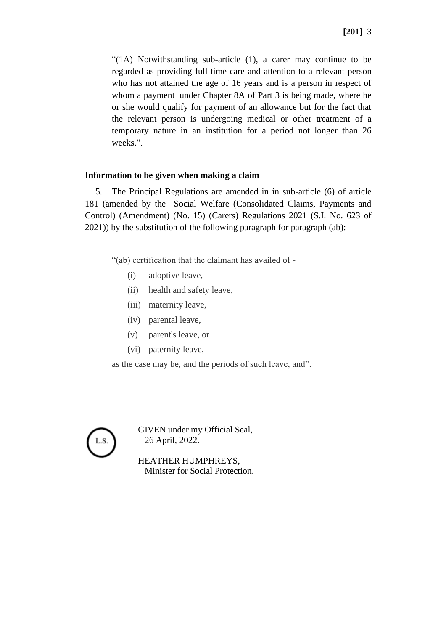"(1A) Notwithstanding sub-article (1), a carer may continue to be regarded as providing full-time care and attention to a relevant person who has not attained the age of 16 years and is a person in respect of whom a payment under Chapter 8A of Part 3 is being made, where he or she would qualify for payment of an allowance but for the fact that the relevant person is undergoing medical or other treatment of a temporary nature in an institution for a period not longer than 26 weeks.".

# **Information to be given when making a claim**

5. The Principal Regulations are amended in in sub-article (6) of article 181 (amended by the Social Welfare (Consolidated Claims, Payments and Control) (Amendment) (No. 15) (Carers) Regulations 2021 (S.I. No. 623 of 2021)) by the substitution of the following paragraph for paragraph (ab):

"(ab) certification that the [claimant](defid:76819) has availed of -

- (i) adoptive leave,
- (ii) health and safety leave,
- (iii) [maternity](defid:76738) leave,
- (iv) parental leave,
- (v) parent's leave, or
- (vi) paternity leave,

as the case may be, and the periods of such leave, and".



GIVEN under my Official Seal, 26 April, 2022.

HEATHER HUMPHREYS, Minister for Social Protection.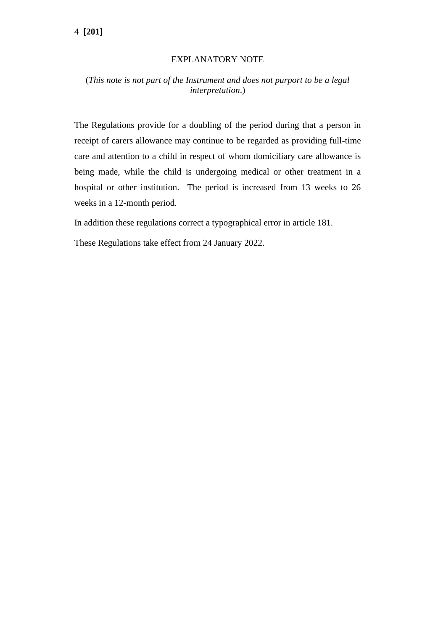# 4 **[201]**

#### EXPLANATORY NOTE

# (*This note is not part of the Instrument and does not purport to be a legal interpretation*.)

The Regulations provide for a doubling of the period during that a person in receipt of carers allowance may continue to be regarded as providing full-time care and attention to a child in respect of whom domiciliary care allowance is being made, while the child is undergoing medical or other treatment in a hospital or other institution. The period is increased from 13 weeks to 26 weeks in a 12-month period.

In addition these regulations correct a typographical error in article 181.

These Regulations take effect from 24 January 2022.